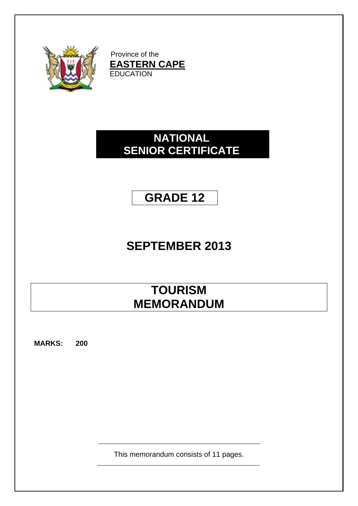

Province of the **EASTERN CAPE** EDUCATION

# **NATIONAL SENIOR CERTIFICATE**

# **GRADE 12**

# **SEPTEMBER 2013**

# **TOURISM MEMORANDUM**

**MARKS: 200**

This memorandum consists of 11 pages.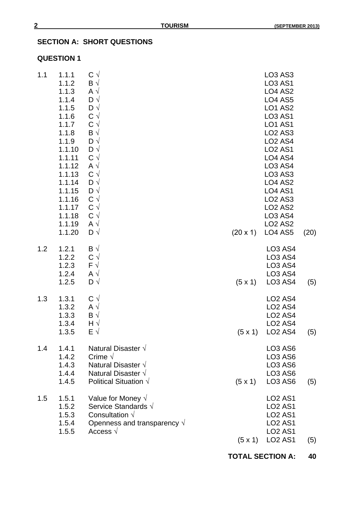# **SECTION A: SHORT QUESTIONS**

## **QUESTION 1**

| 1.1 | 1.1.1<br>1.1.2<br>1.1.3<br>1.1.4<br>1.1.5<br>1.1.6<br>1.1.7<br>1.1.8<br>1.1.9<br>1.1.10<br>1.1.11<br>1.1.12<br>1.1.13<br>1.1.14<br>1.1.15<br>1.1.16<br>1.1.17<br>1.1.18<br>1.1.19<br>1.1.20 | $C \vee$<br>$\mathsf{B} \vee$<br>$A \vee$<br>$D \sqrt{}$<br>$D \sqrt{}$<br>$C \vee$<br>$C \vee$<br>$\mathsf{B} \vee$<br>$D \sqrt{}$<br>$D \sqrt{}$<br>$C \vee$<br>A $\sqrt{ }$<br>$C \vee$<br>$D \sqrt{}$<br>$D \sqrt{}$<br>$C \vee$<br>$C \vee$<br>$C \vee$<br>$A \vee$<br>$D \sqrt{}$ | (20 x 1)       | LO <sub>3</sub> AS <sub>3</sub><br><b>LO3 AS1</b><br><b>LO4 AS2</b><br><b>LO4 AS5</b><br><b>LO1 AS2</b><br><b>LO3 AS1</b><br><b>LO1 AS1</b><br><b>LO2 AS3</b><br><b>LO2 AS4</b><br><b>LO2 AS1</b><br>LO4 AS4<br><b>LO3 AS4</b><br><b>LO3 AS3</b><br><b>LO4 AS2</b><br><b>LO4 AS1</b><br><b>LO2 AS3</b><br><b>LO2 AS2</b><br><b>LO3 AS4</b><br><b>LO2 AS2</b><br><b>LO4 AS5</b> | (20) |
|-----|---------------------------------------------------------------------------------------------------------------------------------------------------------------------------------------------|-----------------------------------------------------------------------------------------------------------------------------------------------------------------------------------------------------------------------------------------------------------------------------------------|----------------|--------------------------------------------------------------------------------------------------------------------------------------------------------------------------------------------------------------------------------------------------------------------------------------------------------------------------------------------------------------------------------|------|
| 1.2 | 1.2.1<br>1.2.2<br>1.2.3<br>1.2.4<br>1.2.5                                                                                                                                                   | $\mathsf{B} \sqrt{ }$<br>$C \vee$<br>$F \sqrt{}$<br>A $\sqrt{ }$<br>$D \sqrt{}$                                                                                                                                                                                                         | $(5 \times 1)$ | <b>LO3 AS4</b><br><b>LO3 AS4</b><br><b>LO3 AS4</b><br><b>LO3 AS4</b><br><b>LO3 AS4</b>                                                                                                                                                                                                                                                                                         | (5)  |
| 1.3 | 1.3.1<br>1.3.2<br>1.3.3<br>1.3.4<br>1.3.5                                                                                                                                                   | $C \vee$<br>$A \vee$<br>$\mathsf{B} \vee$<br>$H \sqrt{}$<br>$E \sqrt{}$                                                                                                                                                                                                                 | $(5 \times 1)$ | LO <sub>2</sub> A <sub>S4</sub><br><b>LO2 AS4</b><br><b>LO2 AS4</b><br><b>LO2 AS4</b><br><b>LO2 AS4</b>                                                                                                                                                                                                                                                                        | (5)  |
| 1.4 | 1.4.1<br>1.4.2<br>1.4.3<br>1.4.4<br>1.4.5                                                                                                                                                   | Natural Disaster $\sqrt{}$<br>Crime $\sqrt$<br>Natural Disaster $\sqrt{}$<br>Natural Disaster $\sqrt{}$<br>Political Situation $\sqrt{}$                                                                                                                                                | $(5 \times 1)$ | LO <sub>3</sub> A <sub>S6</sub><br><b>LO3 AS6</b><br>LO <sub>3</sub> A <sub>S6</sub><br>LO <sub>3</sub> A <sub>S6</sub><br>LO <sub>3</sub> A <sub>S6</sub>                                                                                                                                                                                                                     | (5)  |
| 1.5 | 1.5.1<br>1.5.2<br>1.5.3<br>1.5.4<br>1.5.5                                                                                                                                                   | Value for Money $\sqrt{}$<br>Service Standards $\sqrt{ }$<br>Consultation $\sqrt{}$<br>Openness and transparency $\sqrt{ }$<br>Access $\sqrt{ }$                                                                                                                                        | $(5 \times 1)$ | <b>LO2 AS1</b><br><b>LO2 AS1</b><br><b>LO2 AS1</b><br><b>LO2 AS1</b><br><b>LO2 AS1</b><br><b>LO2 AS1</b>                                                                                                                                                                                                                                                                       | (5)  |

**TOTAL SECTION A: 40**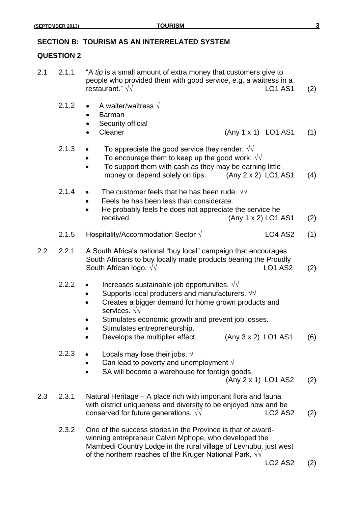# **SECTION B: TOURISM AS AN INTERRELATED SYSTEM**

# **QUESTION 2**

| 2.1 | 2.1.1 | "A tip is a small amount of extra money that customers give to<br>people who provided them with good service, e.g. a waitress in a<br>restaurant." $\sqrt{v}$<br><b>LO1 AS1</b>                                                                                                                                                                             | (2) |
|-----|-------|-------------------------------------------------------------------------------------------------------------------------------------------------------------------------------------------------------------------------------------------------------------------------------------------------------------------------------------------------------------|-----|
|     | 2.1.2 | A waiter/waitress $\sqrt{}$<br><b>Barman</b><br>Security official<br>Cleaner<br>(Any 1 x 1) LO1 AS1                                                                                                                                                                                                                                                         | (1) |
|     | 2.1.3 | To appreciate the good service they render. $\sqrt{v}$<br>To encourage them to keep up the good work. $\sqrt{v}$<br>To support them with cash as they may be earning little<br>money or depend solely on tips.<br>(Any 2 x 2) LO1 AS1                                                                                                                       | (4) |
|     | 2.1.4 | The customer feels that he has been rude. $\sqrt{v}$<br>Feels he has been less than considerate.<br>He probably feels he does not appreciate the service he<br>(Any 1 x 2) LO1 AS1<br>received.                                                                                                                                                             | (2) |
|     | 2.1.5 | Hospitality/Accommodation Sector $\sqrt{}$<br><b>LO4 AS2</b>                                                                                                                                                                                                                                                                                                | (1) |
| 2.2 | 2.2.1 | A South Africa's national "buy local" campaign that encourages<br>South Africans to buy locally made products bearing the Proudly<br>South African logo. $\sqrt{v}$<br><b>LO1 AS2</b>                                                                                                                                                                       | (2) |
|     | 2.2.2 | Increases sustainable job opportunities. $\sqrt{v}$<br>$\bullet$<br>Supports local producers and manufacturers. $\sqrt{v}$<br>Creates a bigger demand for home grown products and<br>services. $\sqrt{v}$<br>Stimulates economic growth and prevent job losses.<br>Stimulates entrepreneurship.<br>Develops the multiplier effect.<br>$(Any 3 x 2)$ LO1 AS1 | (6) |
|     | 2.2.3 | Locals may lose their jobs. $\sqrt{ }$<br>Can lead to poverty and unemployment $\sqrt{ }$<br>SA will become a warehouse for foreign goods.<br>(Any 2 x 1) LO1 AS2                                                                                                                                                                                           | (2) |
| 2.3 | 2.3.1 | Natural Heritage – A place rich with important flora and fauna<br>with district uniqueness and diversity to be enjoyed now and be<br>conserved for future generations. $\sqrt{\sqrt{2}}$<br><b>LO2 AS2</b>                                                                                                                                                  | (2) |
|     | 2.3.2 | One of the success stories in the Province is that of award-<br>winning entrepreneur Calvin Mphope, who developed the<br>Mambedi Country Lodge in the rural village of Levhubu, just west<br>of the northern reaches of the Kruger National Park. $\sqrt{v}$                                                                                                |     |

LO2 AS2 (2)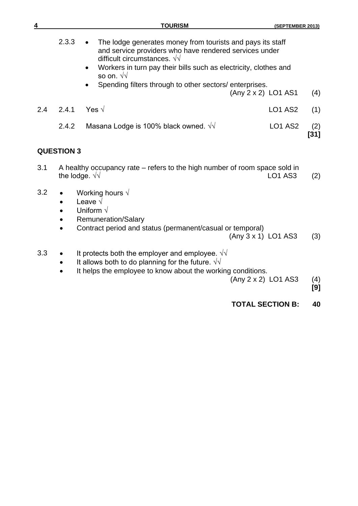| 4   |                   | <b>TOURISM</b>                                                                                                                                                                                                                                                                                                        | (SEPTEMBER 2013)        |               |
|-----|-------------------|-----------------------------------------------------------------------------------------------------------------------------------------------------------------------------------------------------------------------------------------------------------------------------------------------------------------------|-------------------------|---------------|
|     | 2.3.3             | The lodge generates money from tourists and pays its staff<br>and service providers who have rendered services under<br>difficult circumstances. $\sqrt{\sqrt{ }}$<br>Workers in turn pay their bills such as electricity, clothes and<br>so on. $\sqrt{v}$<br>Spending filters through to other sectors/enterprises. |                         |               |
|     |                   |                                                                                                                                                                                                                                                                                                                       | $(Any 2 x 2)$ LO1 AS1   | (4)           |
| 2.4 | 2.4.1             | Yes $\sqrt{ }$                                                                                                                                                                                                                                                                                                        | <b>LO1 AS2</b>          | (1)           |
|     | 2.4.2             | Masana Lodge is 100% black owned. $\sqrt{\sqrt{2}}$                                                                                                                                                                                                                                                                   | <b>LO1 AS2</b>          | (2)<br>$[31]$ |
|     | <b>QUESTION 3</b> |                                                                                                                                                                                                                                                                                                                       |                         |               |
| 3.1 |                   | A healthy occupancy rate – refers to the high number of room space sold in<br>the lodge. $\sqrt{\sqrt{ }}$                                                                                                                                                                                                            | <b>LO1 AS3</b>          | (2)           |
| 3.2 | $\bullet$         | Working hours $\sqrt{}$<br>Leave $\sqrt$<br>Uniform $\sqrt{}$<br><b>Remuneration/Salary</b><br>Contract period and status (permanent/casual or temporal)                                                                                                                                                              | (Any 3 x 1) LO1 AS3     | (3)           |
| 3.3 |                   | It protects both the employer and employee. $\sqrt{v}$<br>It allows both to do planning for the future. $\sqrt{v}$<br>It helps the employee to know about the working conditions.                                                                                                                                     | (Any 2 x 2) LO1 AS3     | (4)<br>[9]    |
|     |                   |                                                                                                                                                                                                                                                                                                                       | <b>TOTAL SECTION B:</b> | 40            |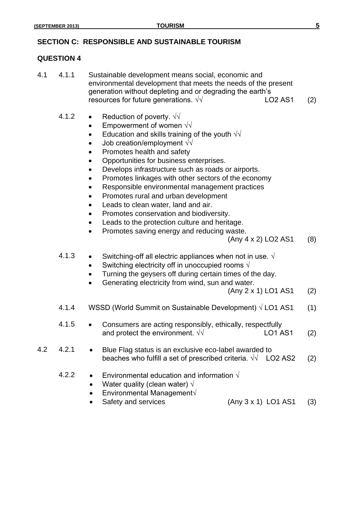### **SECTION C: RESPONSIBLE AND SUSTAINABLE TOURISM**

#### **QUESTION 4**

- 4.1 4.1.1 Sustainable development means social, economic and environmental development that meets the needs of the present generation without depleting and or degrading the earth's resources for future generations.  $\sqrt{v}$  LO2 AS1 (2)
	- 4.1.2 Reduction of poverty.  $\sqrt{\sqrt{2}}$ 
		- $\bullet$  Empowerment of women  $\sqrt{v}$
		- Education and skills training of the youth  $\sqrt{\sqrt{}}$
		- Job creation/employment √√
		- Promotes health and safety
		- Opportunities for business enterprises.
		- Develops infrastructure such as roads or airports.
		- Promotes linkages with other sectors of the economy
		- Responsible environmental management practices
		- Promotes rural and urban development
		- Leads to clean water, land and air.
		- Promotes conservation and biodiversity.
		- Leads to the protection culture and heritage.
		- Promotes saving energy and reducing waste.
			- $(Any 4 x 2) LO2 AS1 (8)$
	- 4.1.3 Switching-off all electric appliances when not in use.  $\sqrt{ }$ 
		- Switching electricity off in unoccupied rooms  $\sqrt{ }$
		- Turning the geysers off during certain times of the day.
		- Generating electricity from wind, sun and water.
			- $(Any 2 x 1)$  LO1 AS1 (2)
	- 4.1.4 WSSD (World Summit on Sustainable Development)  $\sqrt{LO1}$  AS1 (1)
	- 4.1.5 Consumers are acting responsibly, ethically, respectfully and protect the environment.  $\sqrt{v}$  LO1 AS1 (2)
- 4.2 4.2.1 Blue Flag status is an exclusive eco-label awarded to beaches who fulfill a set of prescribed criteria.  $\sqrt{1 + 1}$  LO2 AS2 (2)
	- 4.2.2 Environmental education and information  $\sqrt{ }$ 
		- Water quality (clean water)  $\sqrt{ }$
		- Environmental Management√
		- Safety and services (Any 3 x 1) LO1 AS1 (3)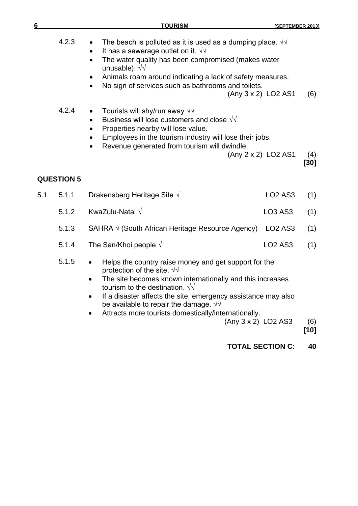| 6   |                   | <b>TOURISM</b>                                                                                                                                                                                                                                                                                                                                                                                                                                                                                                                                                     | (SEPTEMBER 2013)                           |                    |
|-----|-------------------|--------------------------------------------------------------------------------------------------------------------------------------------------------------------------------------------------------------------------------------------------------------------------------------------------------------------------------------------------------------------------------------------------------------------------------------------------------------------------------------------------------------------------------------------------------------------|--------------------------------------------|--------------------|
|     | 4.2.3<br>4.2.4    | The beach is polluted as it is used as a dumping place. $\sqrt{v}$<br>It has a sewerage outlet on it. $\sqrt{v}$<br>The water quality has been compromised (makes water<br>unusable). $\sqrt{v}$<br>Animals roam around indicating a lack of safety measures.<br>No sign of services such as bathrooms and toilets.<br>Tourists will shy/run away $\sqrt{v}$<br>Business will lose customers and close $\sqrt{v}$<br>Properties nearby will lose value.<br>Employees in the tourism industry will lose their jobs.<br>Revenue generated from tourism will dwindle. | (Any 3 x 2) LO2 AS1<br>(Any 2 x 2) LO2 AS1 | (6)<br>(4)<br>[30] |
|     | <b>QUESTION 5</b> |                                                                                                                                                                                                                                                                                                                                                                                                                                                                                                                                                                    |                                            |                    |
| 5.1 | 5.1.1             | Drakensberg Heritage Site $\sqrt{}$                                                                                                                                                                                                                                                                                                                                                                                                                                                                                                                                | <b>LO2 AS3</b>                             | (1)                |
|     | 5.1.2             | KwaZulu-Natal $\sqrt{}$                                                                                                                                                                                                                                                                                                                                                                                                                                                                                                                                            | <b>LO3 AS3</b>                             | (1)                |
|     | 5.1.3             | SAHRA $\sqrt{}$ (South African Heritage Resource Agency)                                                                                                                                                                                                                                                                                                                                                                                                                                                                                                           | <b>LO2 AS3</b>                             | (1)                |
|     | 5.1.4             | The San/Khoi people $\sqrt{ }$                                                                                                                                                                                                                                                                                                                                                                                                                                                                                                                                     | <b>LO2 AS3</b>                             | (1)                |
|     | 5.1.5             | Helps the country raise money and get support for the<br>$\bullet$<br>protection of the site. $\sqrt{v}$<br>The site becomes known internationally and this increases<br>tourism to the destination. $\sqrt{\sqrt{2}}$<br>If a disaster affects the site, emergency assistance may also<br>be available to repair the damage. $\sqrt{v}$<br>Attracts more tourists domestically/internationally.<br>(Any 3 x 2) LO2 AS3                                                                                                                                            |                                            | (6)<br>$[10]$      |
|     |                   |                                                                                                                                                                                                                                                                                                                                                                                                                                                                                                                                                                    | <b>TOTAL SECTION C:</b>                    | 40                 |
|     |                   |                                                                                                                                                                                                                                                                                                                                                                                                                                                                                                                                                                    |                                            |                    |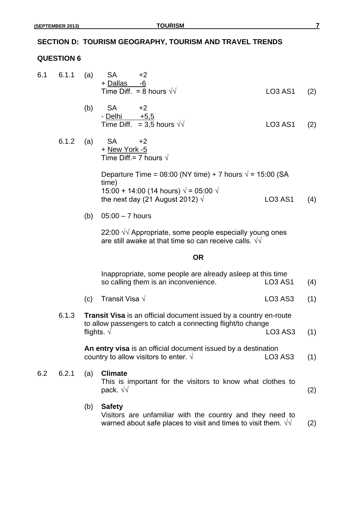### **SECTION D: TOURISM GEOGRAPHY, TOURISM AND TRAVEL TRENDS**

### **QUESTION 6**

- 6.1 6.1.1 (a) SA +2 + Dallas -6 Time Diff. = 8 hours  $\sqrt{V}$  LO3 AS1 (2)
	- (b)  $SA +2$ - Delhi +5,5 Time Diff. =  $3,5$  hours  $\sqrt{}$  LO3 AS1 (2)
	- 6.1.2 (a) SA  $+2$ + New York -5 Time Diff.= 7 hours  $\sqrt{ }$

Departure Time =  $08:00$  (NY time) + 7 hours  $\sqrt{$  = 15:00 (SA time) 15:00 + 14:00 (14 hours)  $\sqrt{$  = 05:00  $\sqrt{}$ the next day  $(2)$  August  $2012$ )  $\sqrt{ }$  LO3 AS1 (4)

(b) 05:00 – 7 hours

22:00 √√ Appropriate, some people especially young ones are still awake at that time so can receive calls.  $\sqrt{v}$ 

### **OR**

|                                                                                                                                                 |       |     | Inappropriate, some people are already asleep at this time                   |                                  |                   |
|-------------------------------------------------------------------------------------------------------------------------------------------------|-------|-----|------------------------------------------------------------------------------|----------------------------------|-------------------|
|                                                                                                                                                 |       |     | so calling them is an inconvenience.                                         | <b>LO3 AS1</b>                   | (4)               |
|                                                                                                                                                 |       | (c) | Transit Visa $\sqrt{ }$                                                      | LO <sub>3</sub> AS <sub>3</sub>  | (1)               |
| 6.1.3<br><b>Transit Visa</b> is an official document issued by a country en-route<br>to allow passengers to catch a connecting flight/to change |       |     |                                                                              |                                  |                   |
|                                                                                                                                                 |       |     | flights. $\sqrt{ }$                                                          | LO <sub>3</sub> A <sub>S</sub> 3 | (1)               |
|                                                                                                                                                 |       |     | An entry visa is an official document issued by a destination                |                                  |                   |
|                                                                                                                                                 |       |     | country to allow visitors to enter. $\sqrt{ }$                               | LO <sub>3</sub> AS <sub>3</sub>  | (1)               |
| 6.2                                                                                                                                             | 6.2.1 | (a) | <b>Climate</b><br>This is important for the visitors to know what clothes to |                                  |                   |
|                                                                                                                                                 |       |     | pack. $\sqrt{v}$                                                             |                                  | $\left( 2\right)$ |

(b) **Safety** Visitors are unfamiliar with the country and they need to warned about safe places to visit and times to visit them.  $\sqrt{v}$  (2)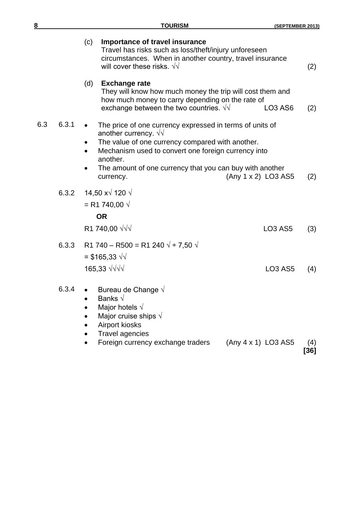| $\overline{\mathbf{8}}$ | <b>TOURISM</b>                                                                                                                                                                                                                                                                                                         | (SEPTEMBER 2013)                |             |  |
|-------------------------|------------------------------------------------------------------------------------------------------------------------------------------------------------------------------------------------------------------------------------------------------------------------------------------------------------------------|---------------------------------|-------------|--|
|                         | Importance of travel insurance<br>(c)<br>Travel has risks such as loss/theft/injury unforeseen<br>circumstances. When in another country, travel insurance<br>will cover these risks. $\sqrt{v}$                                                                                                                       |                                 | (2)         |  |
|                         | (d)<br><b>Exchange rate</b><br>They will know how much money the trip will cost them and<br>how much money to carry depending on the rate of<br>exchange between the two countries. $\sqrt{v}$                                                                                                                         | LO <sub>3</sub> A <sub>S6</sub> | (2)         |  |
| 6.3.1<br>6.3            | The price of one currency expressed in terms of units of<br>another currency. $\sqrt{\sqrt{2}}$<br>The value of one currency compared with another.<br>Mechanism used to convert one foreign currency into<br>another.<br>The amount of one currency that you can buy with another<br>(Any 1 x 2) LO3 AS5<br>currency. |                                 | (2)         |  |
| 6.3.2                   | 14,50 x $\sqrt{120}$ $\sqrt{120}$<br>= R1 740,00 $\sqrt{ }$<br><b>OR</b><br>R1 740,00 √√√                                                                                                                                                                                                                              | LO <sub>3</sub> AS <sub>5</sub> | (3)         |  |
| 6.3.3                   | R1 740 – R500 = R1 240 $\sqrt{2}$ + 7,50 $\sqrt{2}$<br>= \$165,33 $\sqrt{1}$<br>165,33 $\sqrt{\sqrt{}}$                                                                                                                                                                                                                | <b>LO3 AS5</b>                  | (4)         |  |
| 6.3.4                   | • Bureau de Change $\sqrt{ }$<br>Banks $\sqrt{}$<br>Major hotels $\sqrt{}$<br>Major cruise ships $\sqrt{}$<br>Airport kiosks<br><b>Travel agencies</b><br>Foreign currency exchange traders<br>$(Any 4 x 1)$ LO3 AS5                                                                                                   |                                 | (4)<br>[36] |  |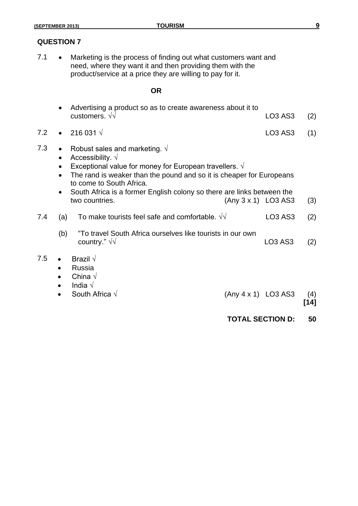# **QUESTION 7**

7.1 • Marketing is the process of finding out what customers want and need, where they want it and then providing them with the product/service at a price they are willing to pay for it.

### **OR**

| • Advertising a product so as to create awareness about it to |               |  |
|---------------------------------------------------------------|---------------|--|
| customers. $\sqrt{v}$                                         | $LO3 AS3$ (2) |  |

- 7.2  $\bullet$  216 031  $\sqrt{ }$  LO3 AS3 (1)
- 7.3 Robust sales and marketing.  $\sqrt{ }$ 
	- Accessibility.  $\sqrt{}$
	- Exceptional value for money for European travellers.  $\sqrt{ }$
	- The rand is weaker than the pound and so it is cheaper for Europeans to come to South Africa.
	- South Africa is a former English colony so there are links between the two countries. (Any 3 x 1) LO3 AS3 (3)
- 7.4 (a) To make tourists feel safe and comfortable.  $\sqrt{v}$  LO3 AS3 (2)
	- (b) "To travel South Africa ourselves like tourists in our own country."  $\sqrt{}$  COUntry."  $\sqrt{}$  (2)
- 7.5 Brazil  $\sqrt{ }$ 
	- Russia
	- China √
	- India √
	- - South Africa  $\sqrt{ }$  (Any 4 x 1) LO3 AS3 (4)
			- **[14]**
			- **TOTAL SECTION D: 50**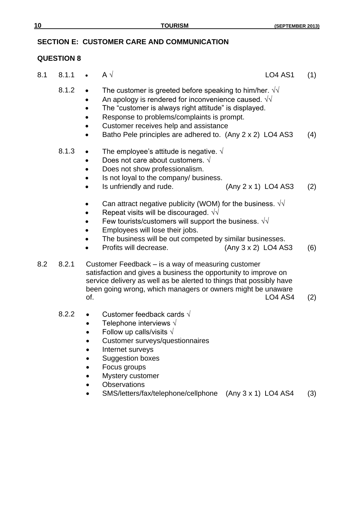8.1 8.1.1 •  $A \sqrt{ }$  LO4 AS1 (1)

# **SECTION E: CUSTOMER CARE AND COMMUNICATION**

# **QUESTION 8**

|     | 8.1.2 | The customer is greeted before speaking to him/her. $\sqrt{v}$<br>An apology is rendered for inconvenience caused. $\sqrt{d}$<br>The "customer is always right attitude" is displayed.<br>Response to problems/complaints is prompt.<br>Customer receives help and assistance<br>Batho Pele principles are adhered to. (Any 2 x 2) LO4 AS3 | (4)        |
|-----|-------|--------------------------------------------------------------------------------------------------------------------------------------------------------------------------------------------------------------------------------------------------------------------------------------------------------------------------------------------|------------|
|     | 8.1.3 | The employee's attitude is negative. $\sqrt{ }$<br>Does not care about customers. $\sqrt{ }$<br>Does not show professionalism.<br>Is not loyal to the company/ business.<br>Is unfriendly and rude.<br>(Any 2 x 1) LO4 AS3                                                                                                                 |            |
|     |       | Can attract negative publicity (WOM) for the business. $\sqrt{v}$<br>Repeat visits will be discouraged. $\sqrt{\sqrt{2}}$<br>Few tourists/customers will support the business. $\sqrt{v}$<br>Employees will lose their jobs.<br>The business will be out competed by similar businesses.<br>Profits will decrease.<br>(Any 3 x 2) LO4 AS3  | (2)<br>(6) |
| 8.2 | 8.2.1 | Customer Feedback – is a way of measuring customer<br>satisfaction and gives a business the opportunity to improve on<br>service delivery as well as be alerted to things that possibly have<br>been going wrong, which managers or owners might be unaware<br>of.<br><b>LO4 AS4</b>                                                       | (2)        |
|     | 8.2.2 | Customer feedback cards $\sqrt{ }$<br>Telephone interviews $\sqrt{ }$<br>Follow up calls/visits $\sqrt{ }$<br><b>Customer surveys/questionnaires</b><br>Internet surveys                                                                                                                                                                   |            |

- **•** Suggestion boxes
- Focus groups
- Mystery customer
- Observations
- SMS/letters/fax/telephone/cellphone (Any 3 x 1) LO4 AS4 (3)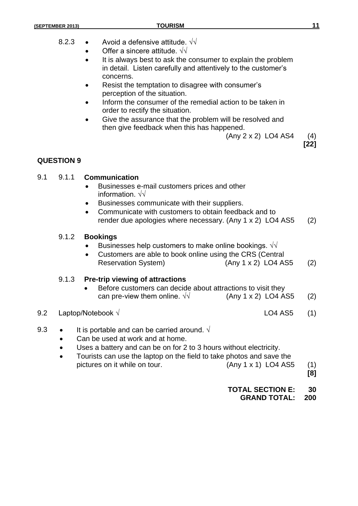- 8.2.3  $\bullet$  Avoid a defensive attitude.  $\sqrt{v}$ 
	- Offer a sincere attitude.  $\sqrt{v}$
	- It is always best to ask the consumer to explain the problem in detail. Listen carefully and attentively to the customer's concerns.
	- Resist the temptation to disagree with consumer's perception of the situation.
	- Inform the consumer of the remedial action to be taken in order to rectify the situation.
	- Give the assurance that the problem will be resolved and then give feedback when this has happened.
		- $(Any 2 x 2) LO4 AS4$  (4)

**[22]**

# **QUESTION 9**

# 9.1 9.1.1 **Communication**

- Businesses e-mail customers prices and other information. √√
- Businesses communicate with their suppliers.
- Communicate with customers to obtain feedback and to render due apologies where necessary. (Any 1 x 2) LO4 AS5 (2)

# 9.1.2 **Bookings**

- Businesses help customers to make online bookings.  $\sqrt{\sqrt{}}$
- Customers are able to book online using the CRS (Central Reservation System) (Any 1 x 2) LO4 AS5 (2)

# 9.1.3 **Pre-trip viewing of attractions**

 Before customers can decide about attractions to visit they can pre-view them online.  $\sqrt{v}$  (Any 1 x 2) LO4 AS5 (2)

# 9.2 Laptop/Notebook  $\sqrt{ }$  LO4 AS5 (1)

- 9.3 It is portable and can be carried around.  $\sqrt{ }$ 
	- Can be used at work and at home.
	- Uses a battery and can be on for 2 to 3 hours without electricity.
	- Tourists can use the laptop on the field to take photos and save the pictures on it while on tour. (Any 1 x 1) LO4 AS5 (1)
		- **[8]**

# **TOTAL SECTION E: 30**

**GRAND TOTAL: 200**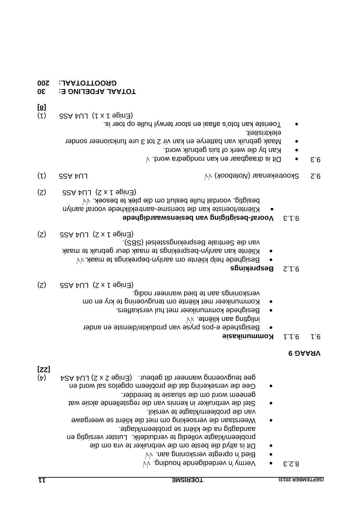- . √√ opregte verskoning aan 'n Bied
- Dit is altyd die beste om die verbruiker te vra om die brobleem/klagte volledig te verduidelik. Luister versigtig en aandagtig na die kliënt se probleem/klagte.
- Weerstaan die versoeking om met die kliënt se weergawe van die probleem/klagte te verskil.
- Stel die verbruiker in kennis van die regstellende aksie wat geneem word om die situasie te beredder.
- Gee die versekering dat die probleem opgelos sal word en gee teugvoering wanneer dit gebeur. (Enige 2 x 2) LU4 AS4 (4)

### **9 VRAAG**

# **Size 1.1.1 Kommunikasie**

- Besigshede e-pos pryse van produkte/dienste en ander inligting aan kliënte. √√
- Besighede kommunikeer met hul verskaffers.
- Kommunikeer met kliënte om terugvoering te kry en om verskonings aan te bied wanneer nodig.
- $(S)$  GSA AU  $(S \times f \cdot \theta)$  (2)

# **Besprekings** 9.1.2

- Besighede help kliënte om aanlyn-beprekings te maak.√√
- Kliënte kan aanlyn-besprekings te maak deur gebruik te maak van die Sentrale Besprekingsstelsel (SBS).
- $(S)$  CBA AU  $(S \times F)$  eping

# **Bigger besigtiging van besienswaardighede**

- Kliënte/toeriste kan die toerisme-aantreklikhede vooraf aanlyn besigtig, voordat hulle besluit om die plek te besoek. √√
- $(S)$  CSA AUJ  $(S \times Y)$  eging
- (1) LU4 AS5 ) √√ *Notebook* Skootrekenaar ( 2. 9
- 
- $\sqrt{6}$ . biow shagbaar en kan rondgedra word.  $\sqrt{6}$
- Kan by die werk of tuis gebruik word.
- Maak gebruik van batterye en kan vir 2 tot 3 ure funksioneer sonder elektrisiteit.
- Toeriste kan foto's aflaai en stoor terwyl hulle op toer is.
- $(1)$  GSA AULI  $(1 \times 1)$  aping)
- **[8]**

# **30 TOTAAL AFDELING E:**

**200 GROOTTOTAAL:**

**[22]**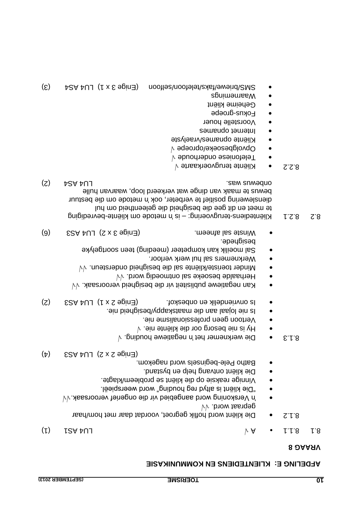# **KLIENTEDIENS EN KOMMUNIKASIE**

- (1) TCA AU
- Die kliënt word hoflik gegroet, voordat daar met hom/haar 8.1.2 √√ gepraat word.
- √√ 'n Verskoning word aangebied vir die ongerief veroorsaak.
- "Die kliënt is altyd reg houding" word weerspieël.
- Vinnige reaksie op die kliënt se probleem/klagte. Die kliënt ontvang help en bystand.
- Batho Pele-beginsels word nagekom.
- $(\uparrow)$  CSA  $\uparrow$ U  $(\uparrow)$   $(\uparrow)$   $(\downarrow)$
- $\forall$  . pribuon ewerknemer het 'n biggatiewe bouding.  $\forall$
- $\forall$  .əin ətnëilx əib 100 gro $e$ əin ai vH
- Vertoon geen professionalisme nie.
- waatskappy/besigheid nie-
- ls onvriendelik en onbeskof. (Enige 2 x 1) LU4 AS3 EQ.
- √√ Kan negatiewe publisiteit vir die besigheid veroorsaak.
- √√ Herhaalde besoeke sal ontmoedig word.
- √√ Minder toeriste/kliënte sal die besigheid ondersteun.
- Werknemers sal hul werk verloor.
- Sal moeilik kan kompeteer (meeding) teen soortgelyke besighede.
- Winste sal afneem.  $(S \times S \oplus \text{Spin}(\text{B})$  LU4 AS3  $(S)$
- B. 8.2 · S.2.1 · Kliëntediens-terugvoering: is 'n metode om kliënte-bevrediging te meet en dit gee die besigheid die geleentheid om hul dienslewering positief te verbeter, ook 'n metode om die bestuur bewus te maak van dinge wat verkeerd loop, waarvan hulle (z)  $\uparrow$  bew summary was responsible to the series of the series of the series of the series of the series of the series of the series of the series of the series of the series of the series of the series of the series of
- √ Kliënte terugvoerkaarte 8.2.2
- √ Telefoniese onderhoude
- √ Opvolgbesoeke/oproepe
- Kliënte opnames/vraelyste
- Internet opnames
- Voorstelle houer
- Eokna-groepe
- Geheime kliënt
- Waarnemings
- $(5)$   $\mu$ SA  $\mu$ U  $($  i x  $\epsilon$  aping (  $\lambda$  nootles/nootlefor/saks/kel/awaind/SMS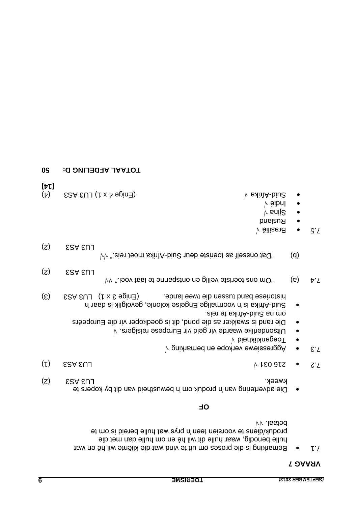### **7 VRAAG**

Bemarking is die proses om uit te vind wat die kliënte wil hê en wat 7.1 hulle benodig, waar hulle dit wil hê en om hulle dan met die produk/diens te voorsien teen 'n prys wat hulle bereid is om te betaal. √√

# **OF**

- Die advertering van 'n produk om 'n bewustheid van dit by kopers te kweek. Kunst as a strong week. This week, we have a strong week. This week is a strong week of  $\sum$
- $(1)$  CSA CULTIMATE OF THE CONSTRUCTION AND ALL CONSTRUCTS OF THE CONSTRUCTION OF THE CONSTRUCTION OF THE CONSTRUCTION OF THE CONSTRUCTION OF THE CONSTRUCTION OF THE CONSTRUCTION OF THE CONSTRUCTION OF THE CONSTRUCTION OF
- $\forall$  9. Aggressiewe verkope en bemarking  $\forall$
- V Diedanklikheid √
- $\bullet$  Uitsonderlike waarde vir geld vir Europese reisigers.  $\forall$
- Die rand is swakker as die pond, dit is goedkoper vir die Europeërs aien et axintA-biu2 an mo-
- Afrika is 'n voormalige Engelse kolonie, gevolglik is daar 'n Suid (5) ESA EUJ (1 x E agin 3) Bande lande. However a capacity and the sensity of the tus-
- $\forall y$  "leov tsal et ennagatro ne piliev etaineot ano mO" (a) 4. Y  $(S)$  ESA EUJ
- $V$ <sup>*"*</sup> sien teom saint A-biu2 nueb eterise as the assement of  $d'$
- $(z)$  ESA EUJ
- $\sqrt{5}$  Brasilië √
- **e** Rusland
- Sjina √
- Indië √
- $(4)$  ESA EUJ (↑ x 4 apin∃) Control 4 x 10 and 4  $\theta$  and 4  $\theta$  and  $\theta$  and  $\theta$  and  $\theta$
- **[14]**
- **50 TOTAAL AFDELING D:**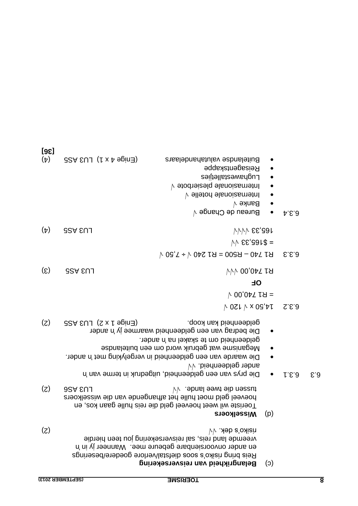| [36]<br>$(\nabla)$          | $32A$ EUJ $(1 \times A)$ epind) | Buitelandse valutahandelaars<br>Reisagentskappe<br>Luguenezealletjies<br>Internasionale plesierbote v<br>Internasionale hotelle v<br>$\bullet$<br><b>Banke</b> V<br>Bureau de Change v                                                                                                                                                         | b.5.3 |                         |
|-----------------------------|---------------------------------|------------------------------------------------------------------------------------------------------------------------------------------------------------------------------------------------------------------------------------------------------------------------------------------------------------------------------------------------|-------|-------------------------|
| $(\nabla)$                  | <b>LU3 ASS</b>                  | $VVVV$ $SE$ 391                                                                                                                                                                                                                                                                                                                                |       |                         |
|                             |                                 | $VV$ $SE$ $91$ \$ =                                                                                                                                                                                                                                                                                                                            |       |                         |
|                             |                                 | $\forall$ 05, $\forall$ + 042 19 = 0068 - 047 19                                                                                                                                                                                                                                                                                               | E.E.3 |                         |
| $\left( \mathcal{E}\right)$ | <b>LU3 ASS</b>                  | $VV$ <sub>00,04</sub> 19                                                                                                                                                                                                                                                                                                                       |       |                         |
|                             |                                 | <b>OE</b>                                                                                                                                                                                                                                                                                                                                      |       |                         |
|                             |                                 | $\triangleright$ 00,047 1 A =                                                                                                                                                                                                                                                                                                                  |       |                         |
|                             |                                 | $\uparrow$ 0ZL $\uparrow$ x 0S'tL                                                                                                                                                                                                                                                                                                              | S.S.3 |                         |
| (5)                         | $32A$ EUJ $(2 \times 1)$ aging) | geldeenheid kan koop.<br>Die bedrag van een geldeenheid waarmee jy 'n ander<br>geldeenheid om te skakel na 'n ander.<br>Meganisme wat gebruik word om een buitelandse<br>Die waarde van een geldeenheid in vergelyking met 'n ander.<br>$\bullet$<br>ander geldeenheid. $\forall v$<br>Die prys van een geldeenheid, uitgedruk in terme van 'n | 1.5.3 | E.3                     |
| (z)                         | <b>9SA EUL</b>                  | W abnsl sewt sib nessut<br>hoeveel geld moet hulle het afhangende van die wisselkoers<br>Toeriste wil weet hoeveel geld die reis hulle gaan kos, en<br>(p)<br><b>Wisselkoers</b>                                                                                                                                                               |       |                         |
| (5)                         |                                 | $VV$ . Aeb a'oxiian<br>vreemde land reis, sal reisversekering jou teen hierdie<br>en ander onvoorsienbare gebeure mee. Wanneer jy in 'n<br>Reis bring risiko's soos diefstal/verlore goedere/beserings<br>Belangrikheid van reisversekering<br>(c)                                                                                             |       |                         |
|                             | (SEPTEMBER 2013)                | <b>TOERISME</b>                                                                                                                                                                                                                                                                                                                                |       | $\overline{\mathbf{8}}$ |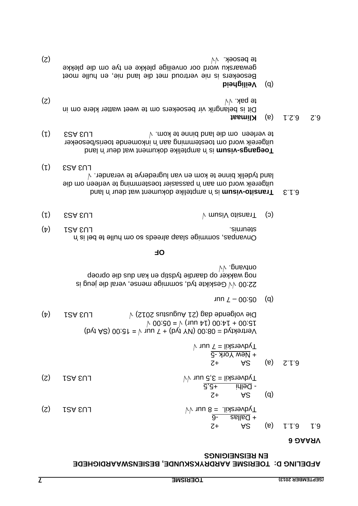# **AFDELING D: TOERISME AARDRYKSKUNDE, BESIENSWAARDIGHEDE EN REISNEIGINGS**

#### **6 VRAAG**

|     |         |                                                         | $V$ vuu $T = I$ ixerskii = 7 uur<br>$+$ New York -5 |     |       |     |
|-----|---------|---------------------------------------------------------|-----------------------------------------------------|-----|-------|-----|
|     |         | $Z+$                                                    | AS                                                  | (e) | 2.1.3 |     |
| (Z) | LU3 ASA | $VV$ 1uu 3,5 = lixenevbyT<br>$\overline{5,5+}$<br>$Z+$  | $\overline{1}$ ilile $\overline{1}$<br>AS           | (q) |       |     |
| (Z) | LOS EUJ | $VV$ uur 8 = .lias evok $T$<br>$\overline{9}$ -<br>$Z+$ | $\frac{1}{2}$ = $\frac{1}{2}$<br>A <sub>2</sub>     | (e) | 1.1.9 | L.3 |

 $(b\psi t AG) 00.3t = V \nu \nu T + (b\psi t Y) 00.80 = b\psi t A$  $\sim$  00:50 =  $\sim$  (1nn  $\mu$ ) 00: $\mu$  + 00:51  $(4)$  LU3 AUGUSTUS  $\vee$  C102 augustus AUGUSTUS (4)

un  $Z - 00:90$  (d)

Geskikte tyd, sommige mense, veral die jeug is 22:00 √√ nog wakker op daardie tydstip en kan dus die oproep √√ ontvang.

#### **F O**

| $(\nabla)$ | LSA EUJ<br>simubis.                                    |
|------------|--------------------------------------------------------|
|            | Onvange, sommige slaap alreeds so om hulle te bel is n |

- $(1)$  CSA EUL CONTROLLEY  $\forall$  musiV of is matrix (3)
- **bratic dokument wat in an in the boy on the state of the state of the state of the state of the state of the state of the state of the state of the state of the state of the state of the state of the state of the state of** uitgereik word om aan it neissasier toestemming te verleen om die land tydelik binne te kom en van lugrederye te verander.  $\vee$  $(L)$  ESA EUJ
- land 'n amptelike dokument wat deur 'n is **isum v- Toegangs** inkomende toeris/besoeker 'n uitgereik word om toestemming aan (1) ESA EUL3  $\forall$  the land binne te kom.  $\forall$  the verteen  $(1)$
- **Klimaat** (a) 6.2.1 6.2

Dit is belangrik vir besoekers om te weet watter klere om in  $\forall y \in \mathbb{R}$  (2)

### **Veiligheid**

Besoekers is nie vertroud met die land nie, en hulle moet gewaarsku word oor onveilige plekke en tye om die plekke  $\mathcal{N}$  (2)  $\mathcal{N}$  (2)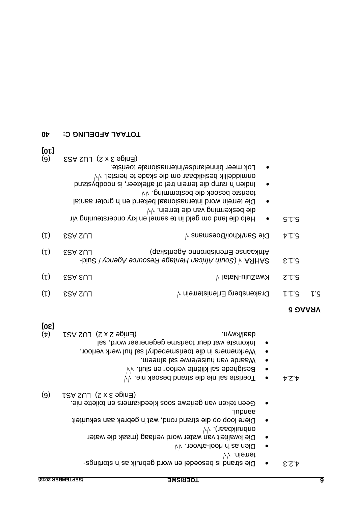| $V$ $\sim$ 1900/ $\sim$ 1900 $\sim$ 1910 $\sim$         |
|---------------------------------------------------------|
| <b>terrein.</b> VV                                      |
| Die strand is besoedel en word gebruik as in stortings- |
|                                                         |

- . √√ afvoer Dien as 'n riool
- o Die kwaliteit van water word verlaag (maak die water
- $V$ √ (166dailundno Diere loop op die strand rond, wat 'n gebrek aan sekuriteit aandui.
- . Geen teken van geriewe soos kleedkamers en toilette nie (6)  $1.5A$  SU  $(5 \times 2)$  Enige 3  $\times 2$   $(6)$
- 
- √√ Toeriste sal nie die strand besoek nie. 4.2.4 √√ Besighede sal kliënte verloor en sluit.
- · Waarde van huise/erwe sal afneem.
- Werknemers in die toerismebedryf sal hul werk verloor.
- Inkomste wat deur toerisme gegenereer word, sal (4) LSA SUJ (S x S epind) Controller and ASI Array Association of ASI Asia Asia Asia Asia Asia Asia A

# **[30]**

| 0Þ          | <b>TOTAAL AFDELING C:</b>                                                                                                                                                                                                                                                                                |                                                                                                                     |                               |     |
|-------------|----------------------------------------------------------------------------------------------------------------------------------------------------------------------------------------------------------------------------------------------------------------------------------------------------------|---------------------------------------------------------------------------------------------------------------------|-------------------------------|-----|
| [0L]<br>(9) | $ESA SU (S x S g)$ CU2 AS3<br>Lok meer binnelandse/internasionale toeriste.<br>$\dot{\vee}\dot{\vee}$ .letsrian beskikbaar om die skade te herstel. $\dot{\vee}\dot{\vee}$<br>Indien 'n ramp die terrein tref of affekteer, is noodbystand<br>Die terrein word internasionaal bekend en 'n groter aantal |                                                                                                                     |                               |     |
|             |                                                                                                                                                                                                                                                                                                          | vv .nieme beskerming van die terrein. Vv<br>Help die land om geld in te samel en kry ondersteuning vir<br>$\bullet$ | $G^{\prime}$ $\downarrow$ $G$ |     |
| (L)         | <b>ESA SUL</b>                                                                                                                                                                                                                                                                                           | Die San/Khoi/Boesmans v                                                                                             | 7.1.3                         |     |
| $(\iota)$   | <b>ESA SUL</b>                                                                                                                                                                                                                                                                                           | (qsxlategA ennondainend asnaskap)                                                                                   | 5.1.3                         |     |
| (L)         | <b>ESA EUJ</b>                                                                                                                                                                                                                                                                                           | $\forall$ lateN-uluSawX                                                                                             | S.f.G                         |     |
| (L)         | <b>ESA SUJ</b>                                                                                                                                                                                                                                                                                           | Drakensberg Erfenisterrein $\sqrt{ }$                                                                               | L L G                         | ι'ς |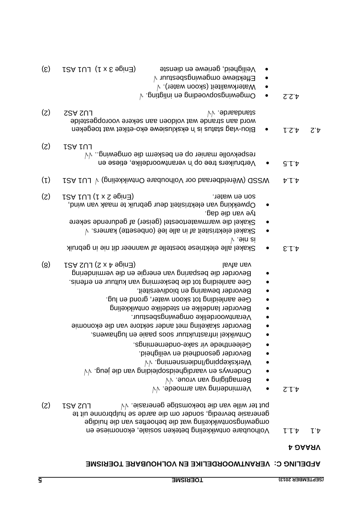### **VEDELING C: VERANTWOORDELIKE EN VOLHOUBARE TOERISME**

- Volhoubare ontwikkeling beteken sosiale, ekonomiese en 4.1.1 4.1 omgewingsontwikkeling wat die behoeftes van die huidige generasie bevredig, sonder om die aarde se hulpbronne uit te Put ter wille van die toekomstige generasie. V√ en LU2 AS1 (2)
- √√ Vermindering van armoede. 4.1.2
- Bemagtiging van vroue. V
- √√ Onderwys en vaardigheidsopleiding van die jeug.
- √√ Werkskepping/Indiensneming.
- Bevorder gesondheid en veiligheid.
- Geleenthede vir sake-ondernemings.
- Ontwikkel infrastruktuur soos paaie en lughawens.
- Bevorder skakeling met ander sektore van die ekonomie
- Verantwoordelike omgewingsbestuur.
- Bevorder landelike en stedelike ontwikkeling
- Gee aanleiding tot skoon water, grond en lug.
- . Bevorder bewaring en biodiversiteit
- . Gee aanleiding tot die beskerming van kultuur en erfenis Bevorder die besparing van energie en die vermindering
- (8)  $\Gamma$  CA  $\Gamma$  CA  $\Gamma$  and  $\Gamma$  and  $\Gamma$  and  $\Gamma$  are  $\Gamma$  and  $\Gamma$  are  $\Gamma$
- 4.1.3 Skakel alle elektriese toestelle af wanneer dit nie in gebruik √ is nie.
- $\forall$  . $\epsilon$ ramexheit af in alle leë (onbesette) kamers.  $\forall$
- Skakel die warmwatertoestel (geiser) af gedurende sekere . tye van die dag
- Opwekking van elektrisiteit deur gebruik te maak van wind, Son en water.  $(2)$   $\qquad$  PA 1) LU1  $(2)$   $\qquad$   $(3)$
- 4.1.4 VSSD (Weteldberaad oor Volhoubare Ontwikkeling) v LU1 PS1 (1)
- Verbruikers tree op 'n verantwoordelike, etiese en 4.1.5  $V$ v $\sim$  respekvolle manier op de beskerm die omgewing.  $(S)$  rsaruj
- 4.2 at the determination of Blon-vlag status is a status wat toegeken in the status is  $\mathbb{R}^n$ word aan strande wat voldoen aan sekere vooropgestelde (2) CSA SU
- $\wedge$  . puitpilni na puibaovqozpriwapmO · 2.5.4
- $\bullet$  Materkwaliteit (skoon water).  $\forall$
- $\bullet$  Effektiewe omgewingsbestuur  $\forall$
- $(5)$   $\overline{1}$  LU1  $\overline{1}$  ( $\overline{1}$  x  $\overline{2}$  epin $\overline{1}$  en en geneib ne eweiligheid,  $\overline{3}$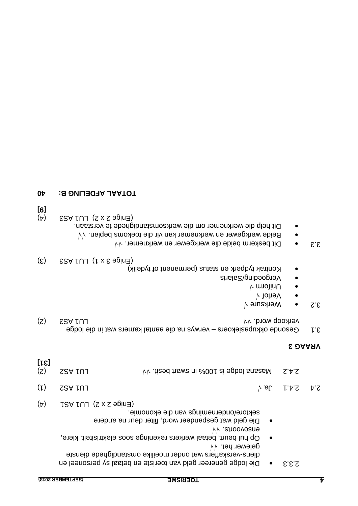|                | (SEPTEMBER 2013)<br><b>TOERISME</b>                                                           |           |       | Ъ |
|----------------|-----------------------------------------------------------------------------------------------|-----------|-------|---|
|                | Die lodge genereer geld van toeriste en betaal sy personeel en                                |           | 2.3.3 |   |
|                | gelewer het. $\forall v$<br>diens-verskaffers wat onder moeilike omstandighede dienste        |           |       |   |
|                | Op hul beurt, betaal werkers rekeninge soos elektrisiteit, klere,                             | $\bullet$ |       |   |
|                | VV .etnoovoens                                                                                |           |       |   |
|                | sektore/ondernemings van die ekonomie.<br>Die geld wat gespandeer word, filter deur na andere | $\bullet$ |       |   |
| $(\mathtt{t})$ | r Chige 2 x 2 y LU1 AS1                                                                       |           |       |   |

 $(1)$  SSAIU

(2)  $S$ A  $V$  101  $\sim$   $\sim$  100% in seq thews ni  $\approx$ 001 si epbol smass M  $S$ .4.2

### **VRAAG 3**

- 3.1 Gesonde okkupasiekoers verwys na die aantal kamers wat in die lodge  $(2)$  CSA rU1 AS3  $\mathcal{N}$  are referred in  $\mathcal{N}$  and  $\mathcal{N}$  are referred in  $\mathcal{N}$
- √ Werksure 3.2
- √ Verlof
- √ Uniform
- Vergoeding/Salaris
- Kontrak tydperk en status (permanent of tydelik)
- $(5)$   $5 \times 1$   $1 \times 5$  apinal
- $3.3$  Dit beskerm beide die werkgewer en werknemer.  $\sqrt{4}$
- $\bullet$  Beide werkgewer en werknemer kan vir die toekoms beplan.  $\forall \forall$
- Dit help die werknemer om die werksomstandighede te verstaan.
- $(f)$   $ESA$   $LU$   $(X \times S)$   $E(A)$
- **[9]**

**[31]**

## **40 TOTAAL AFDELING B:**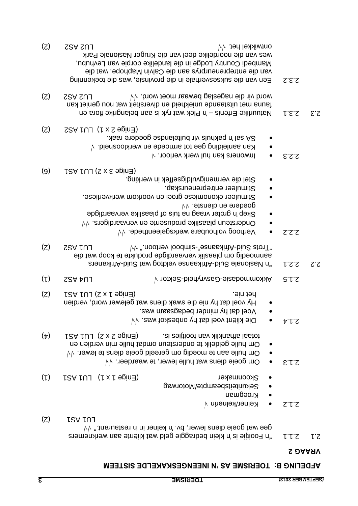- 2.1 Bedraggie geld wat klein bedraggie geld wat kliënte aan werknemers  $\alpha$ gee wat goeie diens lewer, bv. 'n kelner in 'n restaurant."  $\forall \forall$
- $(z)$  LSA  $\overline{L}$
- /kelnerin √ Kelner 2.1.2
- Kroegman
- **e** Sekuriteitsbeampte/Motorwag
- Skoonmaker (Finige Young CEnige 1 x 1) LU1 AS1 (1)
- $\sqrt{4}$  om goeie diens wat hulle lewer, te waardeer.  $\sqrt{4}$
- $\forall v$  nulle aan te moedig om gereeld goeie diens te lewer.  $\forall v$ Om hulle geldelik te ondersteun omdat hulle min verdien en
- (4) 12A tUJ (S x S epind) and afhanklik van the footment
- **√√** Die kliënt voel dat hy onbeskof was. 2.1.4
- Voel dat hy minder bedagsaam was.
- e Hy voel dat hy nie die swak diens wat gelewer word, verdien  $(2)$   $\Gamma$   $(2)$   $\Gamma$   $(2)$   $\Gamma$   $(3)$   $\Gamma$   $(4)$   $\Gamma$   $(5)$   $\Gamma$   $(6)$   $\Gamma$   $(7)$   $\Gamma$   $(8)$   $\Gamma$   $(10)$   $\Gamma$   $(10)$   $\Gamma$   $(10)$   $\Gamma$   $(10)$   $\Gamma$   $(10)$   $\Gamma$   $(10)$   $\Gamma$   $(10)$   $\Gamma$   $(10)$   $\Gamma$   $(10)$   $\Gamma$   $(10)$   $\Gamma$   $($
- (1) LU4 AS2 √ Sektor Gasvryheid Akkommodasie 2.1.5
- Afrikaners Afrikaanse veldtog wat Suid "'n Nasionale Suid 2.2.1 2.2 aanmoedig om plaaslik vervaardigde produkte te koop wat die  $(2)$  SSA  $\mathsf{r} \cup \mathsf{r}$  and  $\mathsf{r} \cup \mathsf{r}$  are not is a similar stand  $\mathsf{r} \cup \mathsf{r}$  and  $\mathsf{r} \cup \mathsf{r}$  are  $\mathsf{r} \cup \mathsf{r}$
- √√ Verhoog volhoubare werksgeleenthede. 2.2.2
- √√ Ondersteun plaaslike produsente en vervaardigers.
- Skep 'n groter vraag na tuis of plaaslike vervaardigde √√ goedere en dienste.
- Stimuleer ekonomiese groei en voorkom werkverliese.
- Stimuleer entrepreneurskap.
- Stel die vermenigvuldigseffek in werking.
- $(6)$  r  $2A$   $1U1$   $(5 \times 6$  apin $\exists$
- $\sqrt{6}$  S.2.3 Inwoners kan hul werk verloor.  $\sqrt{2}$
- $\forall$  .bienaoolatiog gee tot armoede en werkloosheid.  $\forall$
- SA sal 'n pakhuis vir buitelandse goedere raak.
- $(2)$   $28A$   $1U1$   $(1 \times 2 \text{ e}$   $1$  $(2)$
- $\Omega$  2.3.1 Plek wat ryk is about the respective in the substract  $\Omega$  and  $\Omega$  are  $\Omega$ . auna met uitstaande uniekheid en diversiteit wat nou geniet kan f Word vir die nageslag bewaar moet word. Vv<br>
∴ LU2 AS2 ∪ C2)
- Een van die suksesverhale in die provinsie, was die toekenning 2.3.2 van die entrepreneurprys aan die Calvin Maphope, wat die Mambedi Country Lodge in die landelike dorpie van Levhubu, wes van die noordelike deel van die Kruger Nasionale Park (2) LU2 AS2 √√ ontwikkel het.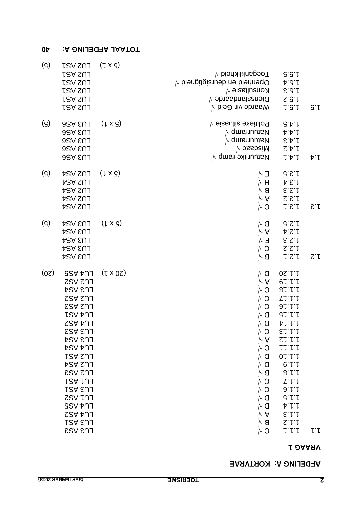### **AFDELING A: KORTVRAE**

### **VRAAG 1**

| (၁)                         | LU2 AS1<br>LU2 AS1<br>LU2 AS1<br>LU2 AS1<br>LU2 AS1<br>LU2 AS1                                                                                                                                                                                                                   | $(L \times G)$  | $\forall$ biədaikheid $\forall$<br>$\vee$ biənbeid en deursigtigheid $\vee$<br>$\forall$ əizstlu $\mathsf{s}$ nd<br>Dienstandaarde $\sqrt{ }$<br>$\forall$ blə $\Theta$ viv ebnas $W$                                                                           | G.G.f<br>4.5.4<br>E.G.f<br>S.G.f<br>1.5.1                                                                                                                                                                                                                                                                                          | G.r        |
|-----------------------------|----------------------------------------------------------------------------------------------------------------------------------------------------------------------------------------------------------------------------------------------------------------------------------|-----------------|-----------------------------------------------------------------------------------------------------------------------------------------------------------------------------------------------------------------------------------------------------------------|------------------------------------------------------------------------------------------------------------------------------------------------------------------------------------------------------------------------------------------------------------------------------------------------------------------------------------|------------|
| $\left( \mathcal{G}\right)$ | <b>PSA SUJ</b><br><b>PSA SUL</b><br><b>PSA SUL</b><br><b>PSA SUL</b><br><b>PSA EUJ</b>                                                                                                                                                                                           | $(1 \times S)$  | Politieke situasie $\forall$<br>$\vee$ qm $\bm{\mathsf{s}}$ nuutam<br>$\vee$ qmsnuutaM<br>$\forall$ besbeiM<br>Natuurlike ramp $\forall$                                                                                                                        | $\partial \phi$ .<br>ヤヤト<br>E.A.f<br>S.f.f<br>トトー                                                                                                                                                                                                                                                                                  | ヤト         |
| $\left( \mathsf{S}\right)$  | LU2 ASA<br>LU2 ASA<br>LU2 ASA<br>LU2 ASA<br>LU2 ASA                                                                                                                                                                                                                              | $(1 \times S)$  | トヨ<br>$\wedge$ H<br>$\vee$ A<br>$\circ$ $\circ$                                                                                                                                                                                                                 | 7.5.5<br>A.B.f<br>$\vee$ 8 $\sim$ 8.6.1<br>S.E.f<br>1.5.1                                                                                                                                                                                                                                                                          | E.f        |
| (၁)                         | <b>LU3 ASA</b><br><b>LU3 ASA</b><br><b>LU3 ASA</b><br><b>LU3 ASA</b><br>LU3 ASA                                                                                                                                                                                                  | $(1 \times S)$  | $\wedge$ a<br>$\vee$ A<br>$C \wedge C$<br>N 8                                                                                                                                                                                                                   | 3.5.1<br>ヤヱト<br>$\sqrt{2.3}$ F $\sqrt{ }$<br>1.2.2<br>1.2.1                                                                                                                                                                                                                                                                        | $\Omega$ . |
| (0 <sub>z</sub> )           | <b>LU4 AS5</b><br>LU2 AS2<br>LU3 AS4<br><b>LU2 AS2</b><br><b>ESA SUL</b><br>LU4 AU1<br>LU4 AS2<br><b>ESA EUJ</b><br><b>LU3 ASA</b><br>LU4 ASA<br>LU2 AS1<br>LU2 AS4<br><b>ESA SUL</b><br>LU1 ASA<br>LU3 ASA<br>LU1 AS2<br>LU4 AS5<br><b>LU4 AS2</b><br>LU3 ASA<br><b>ESA EUJ</b> | $(1 \times 0S)$ | ΛO<br>$\vee$ A<br>$\circ$ $\circ$<br>$\wedge$ a<br>$\circ$ $\land$<br>$\vee$ A<br>$\circ$<br>$\wedge$<br>$\wedge$ a<br>$\wedge$ a<br>$\wedge$ 8<br>$\mathsf{C}\wedge$<br>$\wedge$ 0<br>$\wedge$ a<br>$\wedge$ a<br>$\vee$ A<br>$\wedge$ 8<br>$\mathsf{C}\wedge$ | 0S.f.f<br>$Q \upharpoonright \upharpoonright \upharpoonright \upharpoonright \upharpoonright$<br>81.1.1<br>$1111$ O $\Lambda$<br>$\sqrt{1.16}$ O $\sqrt{1.16}$<br>$\vee$ 0 $\,$ 81.1.1<br>ヤレトト<br>ST.L.<br>$S \cup \cup \}$<br>トト・トート<br>$0 \Gamma \Gamma$<br>6.1.1<br>8.1.1<br>L'<br>9.1.1<br>G.L.<br>ヤー<br>E.I.f<br>S.1.1<br>レトト | レト         |

### **40 TOTAAL AFDELING A:**